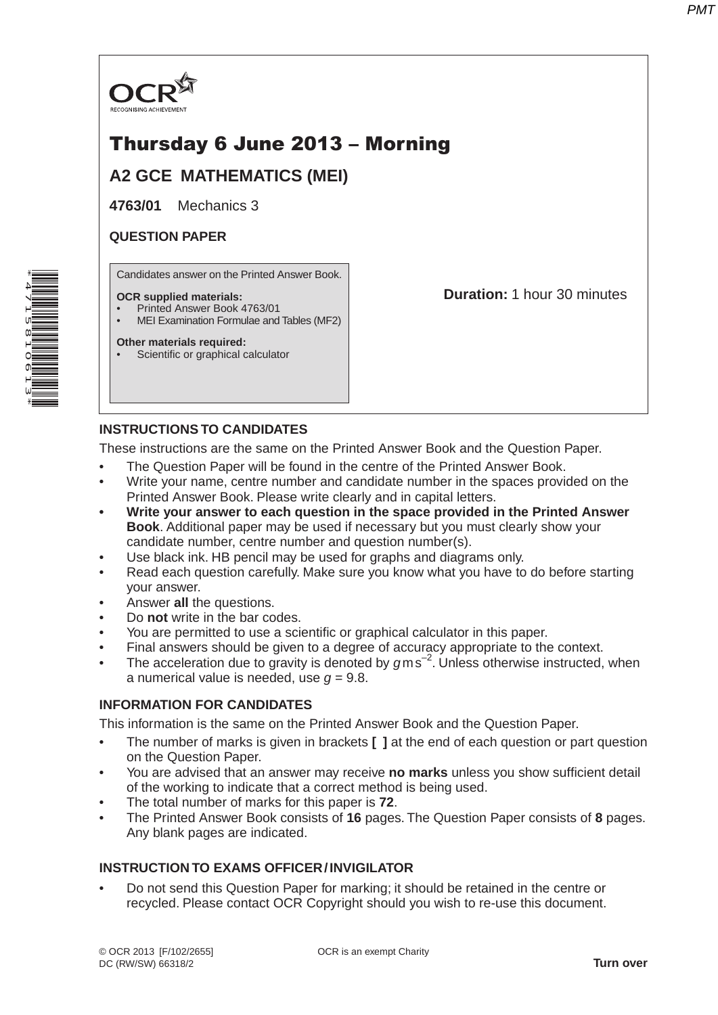

# Thursday 6 June 2013 – Morning

## **A2 GCE MATHEMATICS (MEI)**

**4763/01** Mechanics 3

#### **QUESTION PAPER**

Candidates answer on the Printed Answer Book.

#### **OCR supplied materials:**

- Printed Answer Book 4763/01
- MEI Examination Formulae and Tables (MF2)

#### **Other materials required:**

Scientific or graphical calculator

**Duration:** 1 hour 30 minutes

#### **INSTRUCTIONS TO CANDIDATES**

These instructions are the same on the Printed Answer Book and the Question Paper.

- The Question Paper will be found in the centre of the Printed Answer Book.
- Write your name, centre number and candidate number in the spaces provided on the Printed Answer Book. Please write clearly and in capital letters.
- **Write your answer to each question in the space provided in the Printed Answer Book**. Additional paper may be used if necessary but you must clearly show your candidate number, centre number and question number(s).
- Use black ink. HB pencil may be used for graphs and diagrams only.
- Read each question carefully. Make sure you know what you have to do before starting your answer.
- Answer **all** the questions.
- Do **not** write in the bar codes.
- You are permitted to use a scientific or graphical calculator in this paper.
- Final answers should be given to a degree of accuracy appropriate to the context.
- The acceleration due to gravity is denoted by  $g$ m s<sup>-2</sup>. Unless otherwise instructed, when a numerical value is needed, use  $q = 9.8$ .

#### **INFORMATION FOR CANDIDATES**

This information is the same on the Printed Answer Book and the Question Paper.

- The number of marks is given in brackets **[ ]** at the end of each question or part question on the Question Paper.
- You are advised that an answer may receive **no marks** unless you show sufficient detail of the working to indicate that a correct method is being used.
- The total number of marks for this paper is **72**.
- The Printed Answer Book consists of **16** pages. The Question Paper consists of **8** pages. Any blank pages are indicated.

### **INSTRUCTION TO EXAMS OFFICER / INVIGILATOR**

• Do not send this Question Paper for marking; it should be retained in the centre or recycled. Please contact OCR Copyright should you wish to re-use this document.

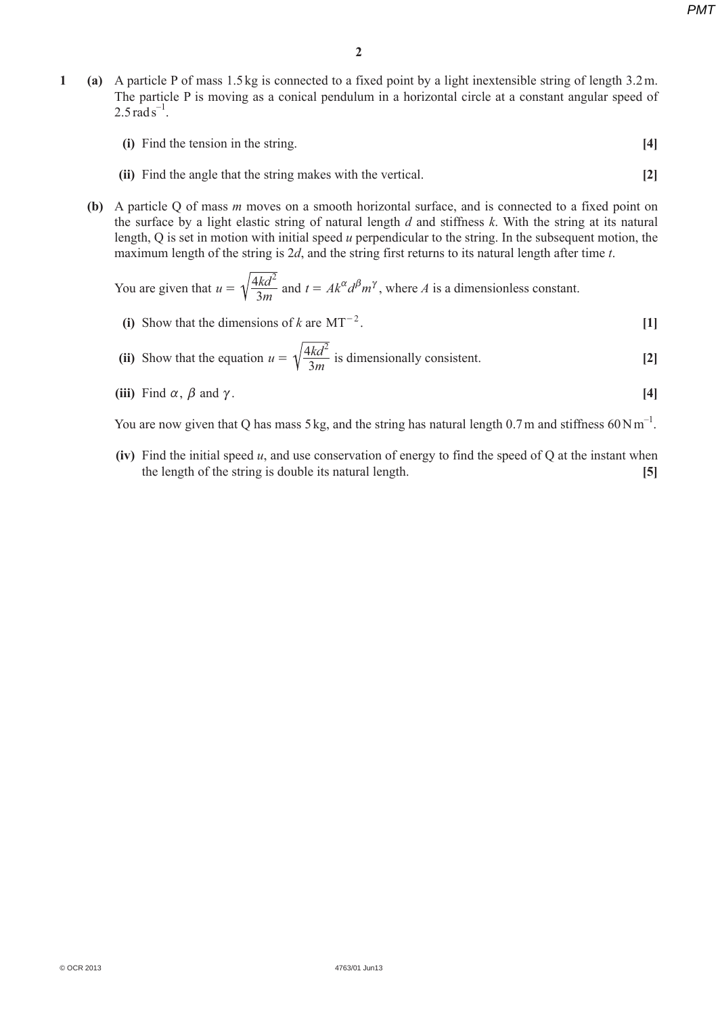- **1 (a)**  A particle P of mass 1.5 kg is connected to a fixed point by a light inextensible string of length 3.2 m. The particle P is moving as a conical pendulum in a horizontal circle at a constant angular speed of  $2.5 \,\text{rad} \,\text{s}^{-1}$ .
	- **(i)** Find the tension in the string. **[4]**
	- **(ii)** Find the angle that the string makes with the vertical. **[2]**
	- **(b)** A particle Q of mass *m* moves on a smooth horizontal surface, and is connected to a fixed point on the surface by a light elastic string of natural length *d* and stiffness *k*. With the string at its natural length, Q is set in motion with initial speed *u* perpendicular to the string. In the subsequent motion, the maximum length of the string is 2*d*, and the string first returns to its natural length after time *t*.

You are given that 
$$
u = \sqrt{\frac{4kd^2}{3m}}
$$
 and  $t = Ak^\alpha d^\beta m^\gamma$ , where A is a dimensionless constant.

**(i)** Show that the dimensions of *k* are MT<sup> $-2$ </sup>. [1]

(ii) Show that the equation 
$$
u = \sqrt{\frac{4kd^2}{3m}}
$$
 is dimensionally consistent.

(iii) Find  $\alpha$ ,  $\beta$  and  $\gamma$ . [4]

You are now given that Q has mass 5 kg, and the string has natural length  $0.7$  m and stiffness  $60 \text{ N m}^{-1}$ .

 $(iv)$  Find the initial speed  $u$ , and use conservation of energy to find the speed of Q at the instant when the length of the string is double its natural length. **[5]**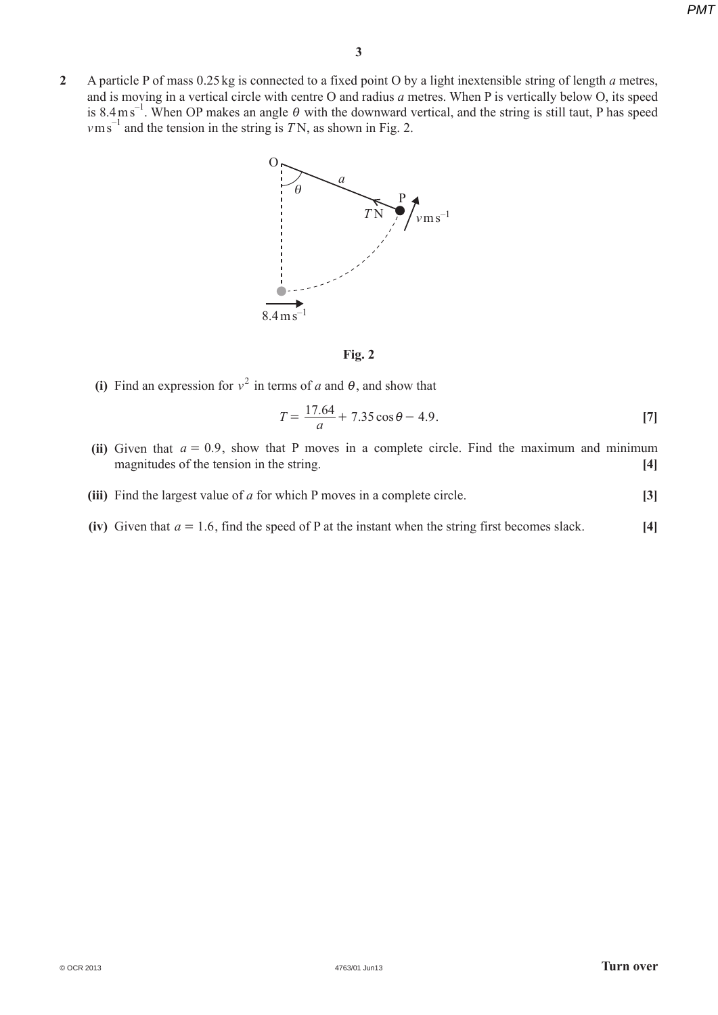**2**  A particle P of mass 0.25 kg is connected to a fixed point O by a light inextensible string of length *a* metres, and is moving in a vertical circle with centre O and radius *a* metres. When P is vertically below O, its speed is 8.4 m s<sup>-1</sup>. When OP makes an angle  $\theta$  with the downward vertical, and the string is still taut, P has speed  $v \, \text{m s}^{-1}$  and the tension in the string is *T* N, as shown in Fig. 2.



**Fig. 2**

**(i)** Find an expression for  $v^2$  in terms of *a* and  $\theta$ , and show that

$$
T = \frac{17.64}{a} + 7.35 \cos \theta - 4.9.
$$
 [7]

- **(ii)** Given that  $a = 0.9$ , show that P moves in a complete circle. Find the maximum and minimum magnitudes of the tension in the string. **[4]**
- **(iii)** Find the largest value of *a* for which P moves in a complete circle. **[3]**
- **(iv)** Given that  $a = 1.6$ , find the speed of P at the instant when the string first becomes slack. **[4]**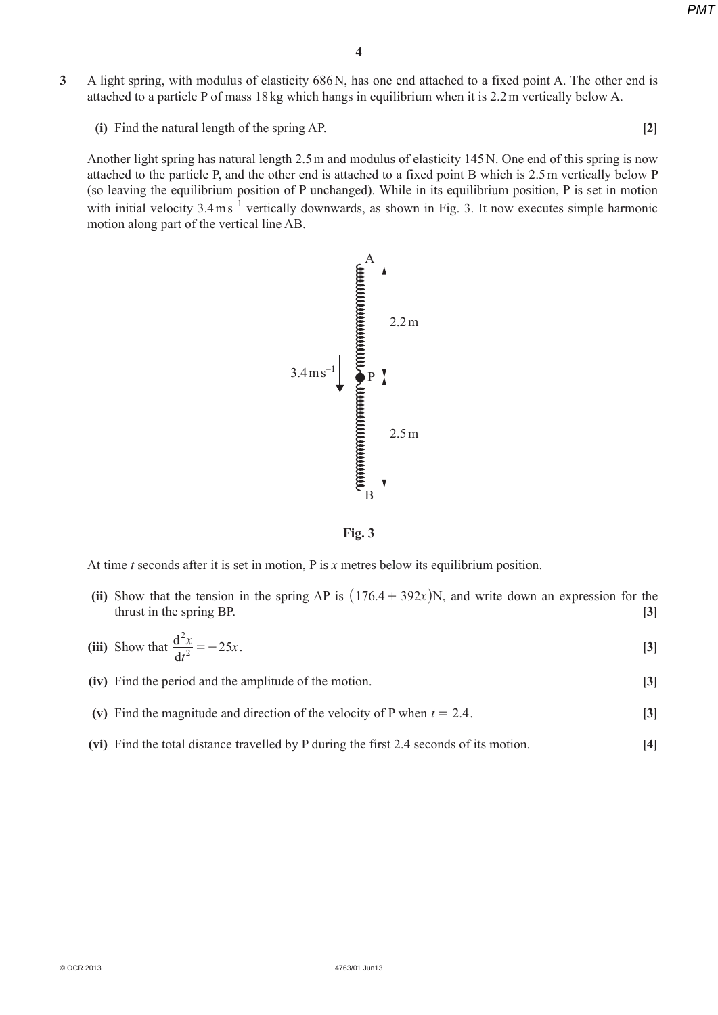- **3**  A light spring, with modulus of elasticity 686 N, has one end attached to a fixed point A. The other end is attached to a particle P of mass 18 kg which hangs in equilibrium when it is 2.2 m vertically below A.
	- **(i)** Find the natural length of the spring AP. **[2]**

Another light spring has natural length 2.5 m and modulus of elasticity 145 N. One end of this spring is now attached to the particle P, and the other end is attached to a fixed point B which is 2.5 m vertically below P (so leaving the equilibrium position of P unchanged). While in its equilibrium position, P is set in motion with initial velocity  $3.4 \text{ m s}^{-1}$  vertically downwards, as shown in Fig. 3. It now executes simple harmonic motion along part of the vertical line AB.





At time *t* seconds after it is set in motion, P is *x* metres below its equilibrium position.

**(ii)** Show that the tension in the spring AP is  $(176.4 + 392x)N$ , and write down an expression for the thrust in the spring BP. **[3]**

(iii) Show that 
$$
\frac{d^2x}{dt^2} = -25x
$$
. [3]

- **(iv)** Find the period and the amplitude of the motion. **[3]**
- **(v)** Find the magnitude and direction of the velocity of P when  $t = 2.4$ . [3]
- **(vi)** Find the total distance travelled by P during the first 2.4 seconds of its motion. [4]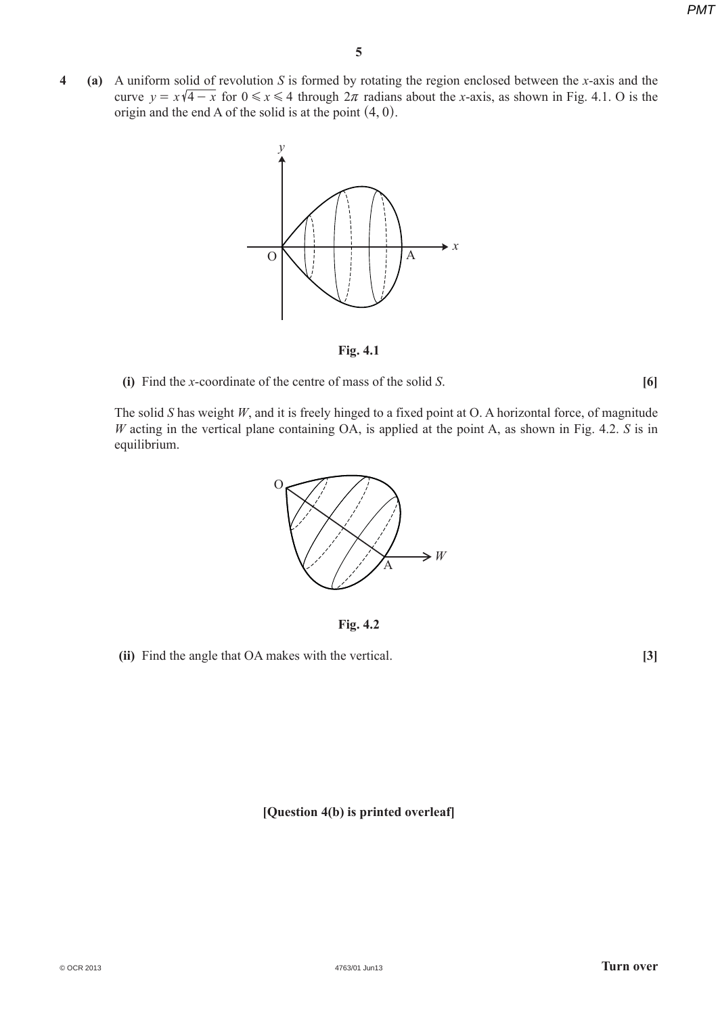**4 (a)**  A uniform solid of revolution *S* is formed by rotating the region enclosed between the *x*-axis and the curve  $y = x\sqrt{4-x}$  for  $0 \le x \le 4$  through  $2\pi$  radians about the *x*-axis, as shown in Fig. 4.1. O is the origin and the end A of the solid is at the point  $(4, 0)$ .



**Fig. 4.1**

**(i)** Find the *x*-coordinate of the centre of mass of the solid *S*.  $[6]$ 

The solid *S* has weight *W*, and it is freely hinged to a fixed point at O. A horizontal force, of magnitude *W* acting in the vertical plane containing OA, is applied at the point A, as shown in Fig. 4.2. *S* is in equilibrium.





**(ii)** Find the angle that OA makes with the vertical. **[3]** 

#### **[Question 4(b) is printed overleaf]**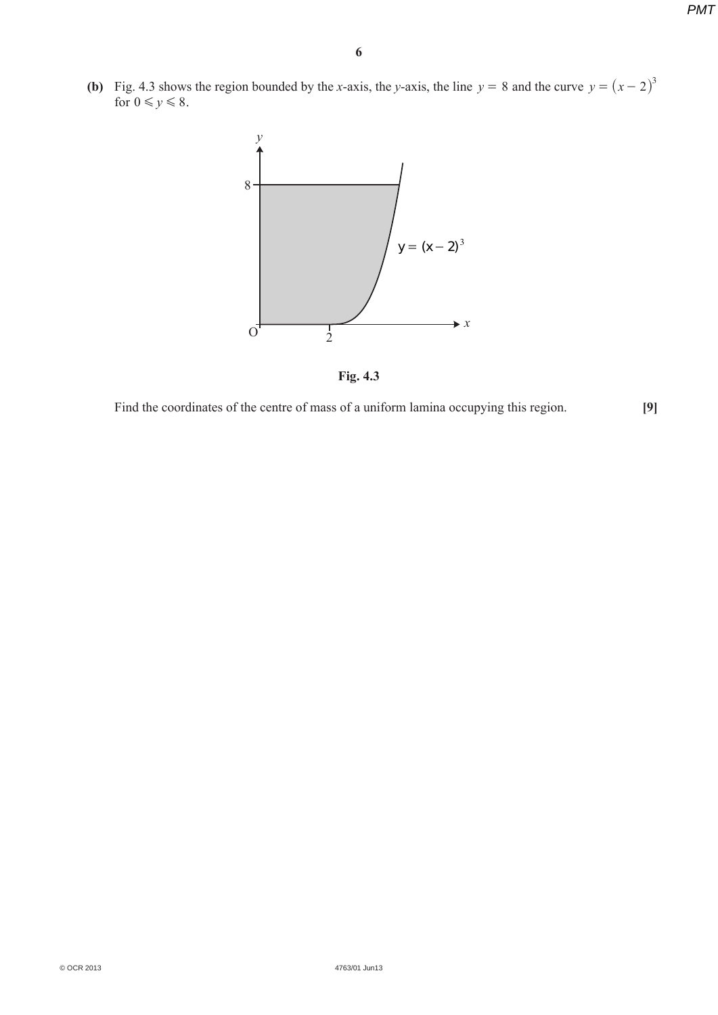**(b)** Fig. 4.3 shows the region bounded by the *x*-axis, the *y*-axis, the line  $y = 8$  and the curve  $y = (x - 2)^3$ for  $0 \leq y \leq 8$ .



**Fig. 4.3**

Find the coordinates of the centre of mass of a uniform lamina occupying this region. **[9]**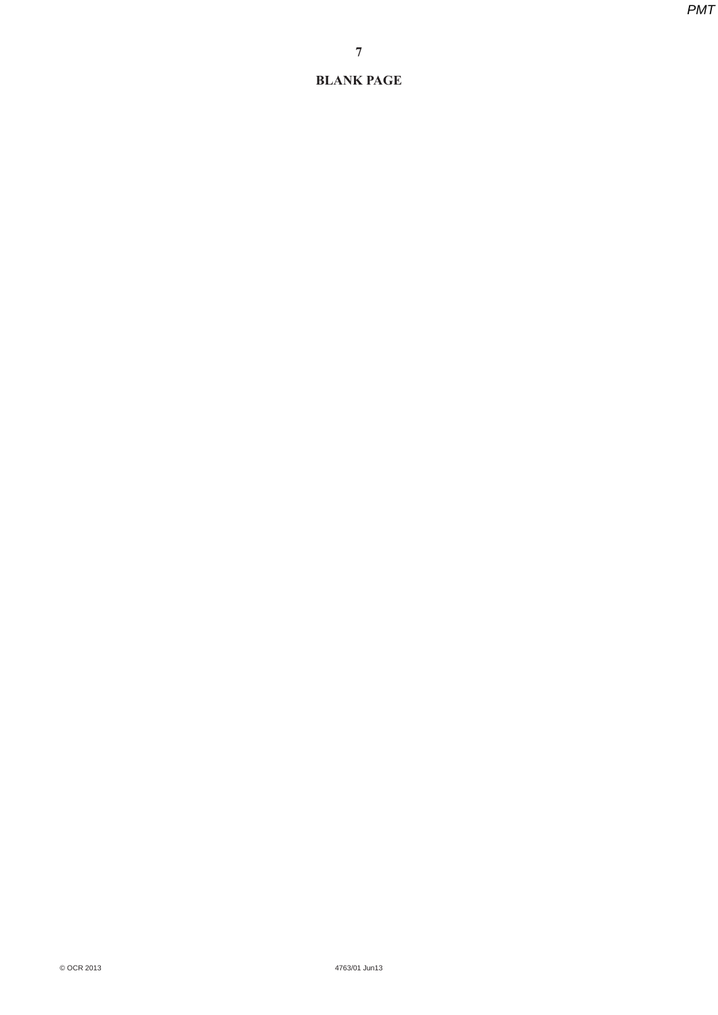### **BLANK PAGE**